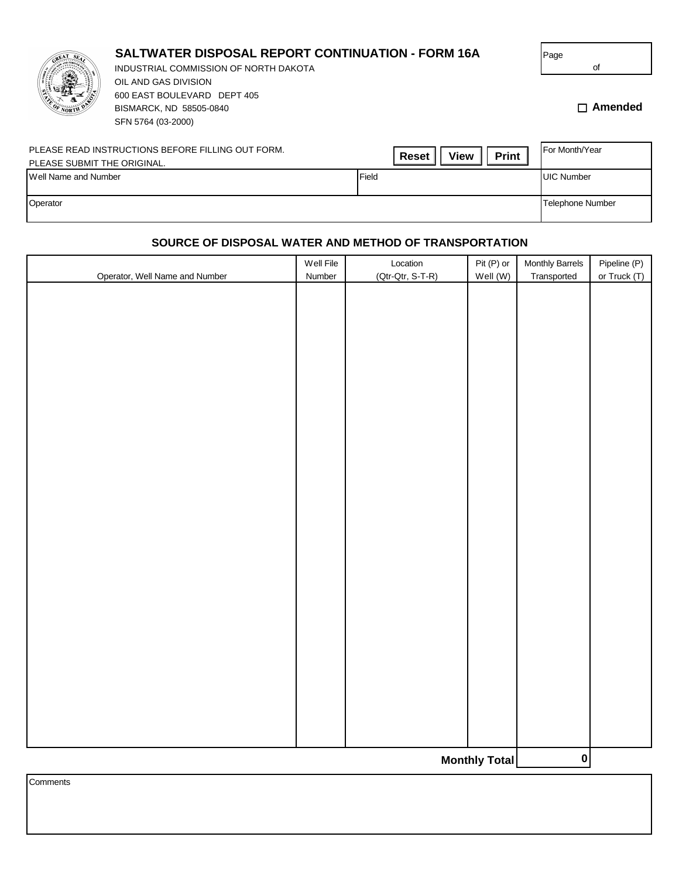|                             | <b>SALTWATER DISPOSAL REPORT CONTINUATION - FORM 16A</b><br>INDUSTRIAL COMMISSION OF NORTH DAKOTA<br>OIL AND GAS DIVISION<br>600 EAST BOULEVARD DEPT 405<br>BISMARCK, ND 58505-0840<br>SFN 5764 (03-2000) |                                             | Page<br>οf<br>$\Box$ Amended |
|-----------------------------|-----------------------------------------------------------------------------------------------------------------------------------------------------------------------------------------------------------|---------------------------------------------|------------------------------|
| PLEASE SUBMIT THE ORIGINAL. | PLEASE READ INSTRUCTIONS BEFORE FILLING OUT FORM.                                                                                                                                                         | <b>Print</b><br><b>View</b><br><b>Reset</b> | For Month/Year               |
| Well Name and Number        |                                                                                                                                                                                                           | Field                                       | <b>UIC Number</b>            |
| Operator                    |                                                                                                                                                                                                           |                                             | Telephone Number             |

## **SOURCE OF DISPOSAL WATER AND METHOD OF TRANSPORTATION**

|                                  | Well File    | Location         | Pit (P) or | Monthly Barrels | Pipeline (P) |  |
|----------------------------------|--------------|------------------|------------|-----------------|--------------|--|
| Operator, Well Name and Number   | Number       | (Qtr-Qtr, S-T-R) | Well (W)   | Transported     | or Truck (T) |  |
|                                  |              |                  |            |                 |              |  |
|                                  |              |                  |            |                 |              |  |
|                                  |              |                  |            |                 |              |  |
|                                  |              |                  |            |                 |              |  |
|                                  |              |                  |            |                 |              |  |
|                                  |              |                  |            |                 |              |  |
|                                  |              |                  |            |                 |              |  |
|                                  |              |                  |            |                 |              |  |
|                                  |              |                  |            |                 |              |  |
|                                  |              |                  |            |                 |              |  |
|                                  |              |                  |            |                 |              |  |
|                                  |              |                  |            |                 |              |  |
|                                  |              |                  |            |                 |              |  |
|                                  |              |                  |            |                 |              |  |
|                                  |              |                  |            |                 |              |  |
|                                  |              |                  |            |                 |              |  |
|                                  |              |                  |            |                 |              |  |
|                                  |              |                  |            |                 |              |  |
|                                  |              |                  |            |                 |              |  |
|                                  |              |                  |            |                 |              |  |
|                                  |              |                  |            |                 |              |  |
|                                  |              |                  |            |                 |              |  |
|                                  |              |                  |            |                 |              |  |
|                                  |              |                  |            |                 |              |  |
|                                  |              |                  |            |                 |              |  |
|                                  |              |                  |            |                 |              |  |
|                                  |              |                  |            |                 |              |  |
|                                  |              |                  |            |                 |              |  |
|                                  |              |                  |            |                 |              |  |
|                                  |              |                  |            |                 |              |  |
|                                  |              |                  |            |                 |              |  |
|                                  | $\mathbf{0}$ |                  |            |                 |              |  |
| <b>Monthly Total</b><br>Comments |              |                  |            |                 |              |  |